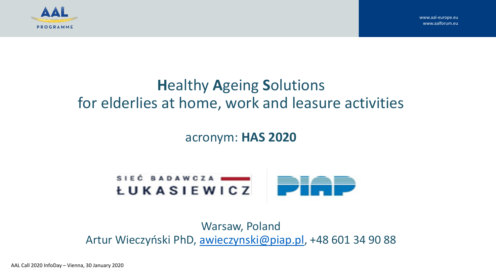

# **H**ealthy **A**geing **S**olutions for elderlies at home, work and leasure activities

#### acronym: **HAS 2020**



Warsaw, Poland Artur Wieczyński PhD, [awieczynski@piap.pl](mailto:awieczynski@piap.pl), +48 601 34 90 88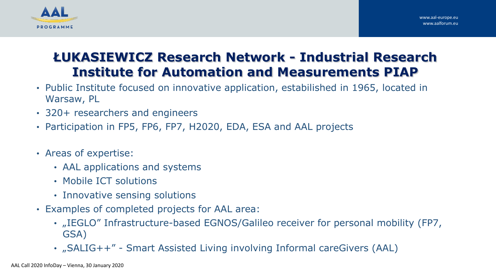

# **ŁUKASIEWICZ Research Network - Industrial Research Institute for Automation and Measurements PIAP**

- Public Institute focused on innovative application, estabilished in 1965, located in Warsaw, PL
- 320+ researchers and engineers
- Participation in FP5, FP6, FP7, H2020, EDA, ESA and AAL projects
- Areas of expertise:
	- AAL applications and systems
	- Mobile ICT solutions
	- Innovative sensing solutions
- Examples of completed projects for AAL area:
	- "IEGLO" Infrastructure-based EGNOS/Galileo receiver for personal mobility (FP7, GSA)
	- "SALIG++" Smart Assisted Living involving Informal careGivers (AAL)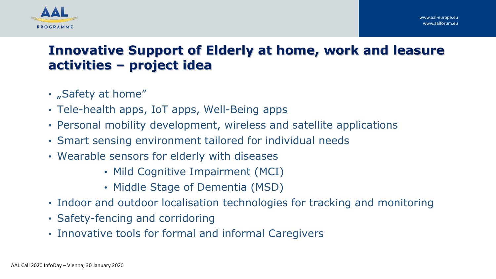



### **Innovative Support of Elderly at home, work and leasure activities – project idea**

- "Safety at home"
- Tele-health apps, IoT apps, Well-Being apps
- Personal mobility development, wireless and satellite applications
- Smart sensing environment tailored for individual needs
- Wearable sensors for elderly with diseases
	- Mild Cognitive Impairment (MCI)
	- Middle Stage of Dementia (MSD)
- Indoor and outdoor localisation technologies for tracking and monitoring
- Safety-fencing and corridoring
- Innovative tools for formal and informal Caregivers